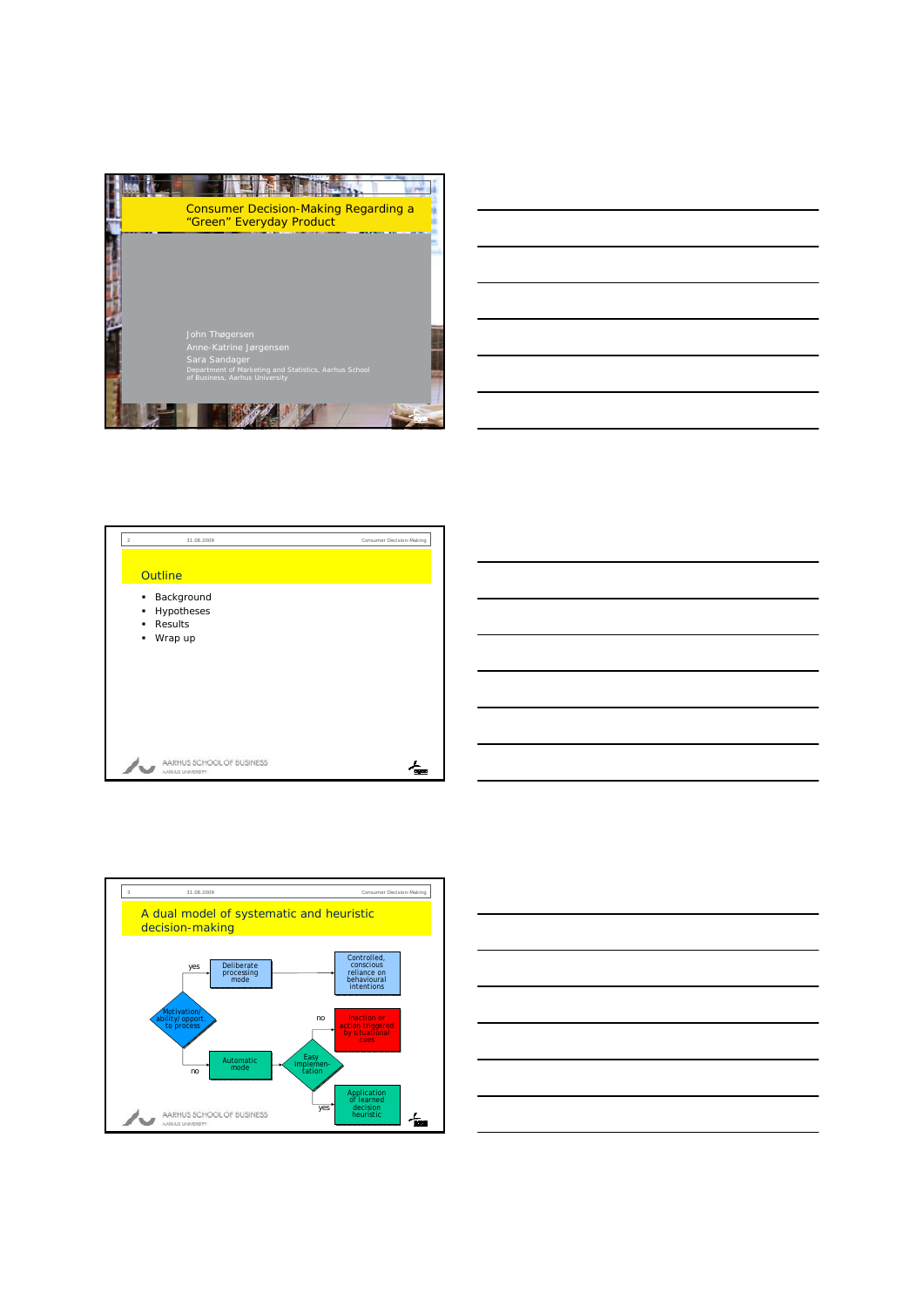









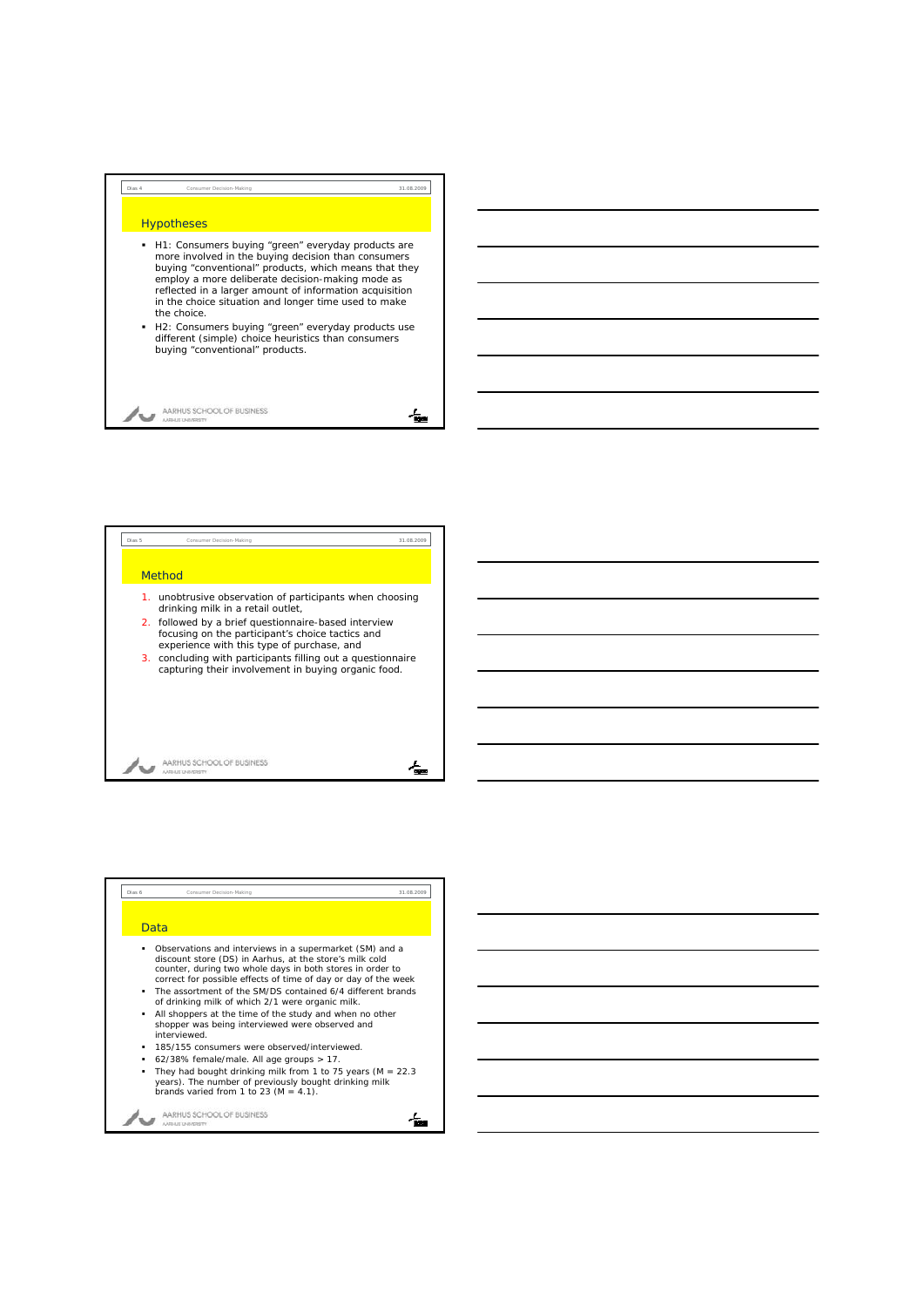## **Hypotheses**

 H1: Consumers buying "green" everyday products are more involved in the buying decision than consumers buying "conventional" products, which means that they employ a more deliberate decision-making mode as reflected in a larger amount of information acquisition in the choice situation and longer time used to make the choice.

Dias 4 Consumer Decision-Making 31.08.2009

H2: Consumers buying "green" everyday products use different (simple) choice heuristics than consumers buying "conventional" products.

AARHUS SCHOOL OF BUSINESS w

## 伝





∕ѭ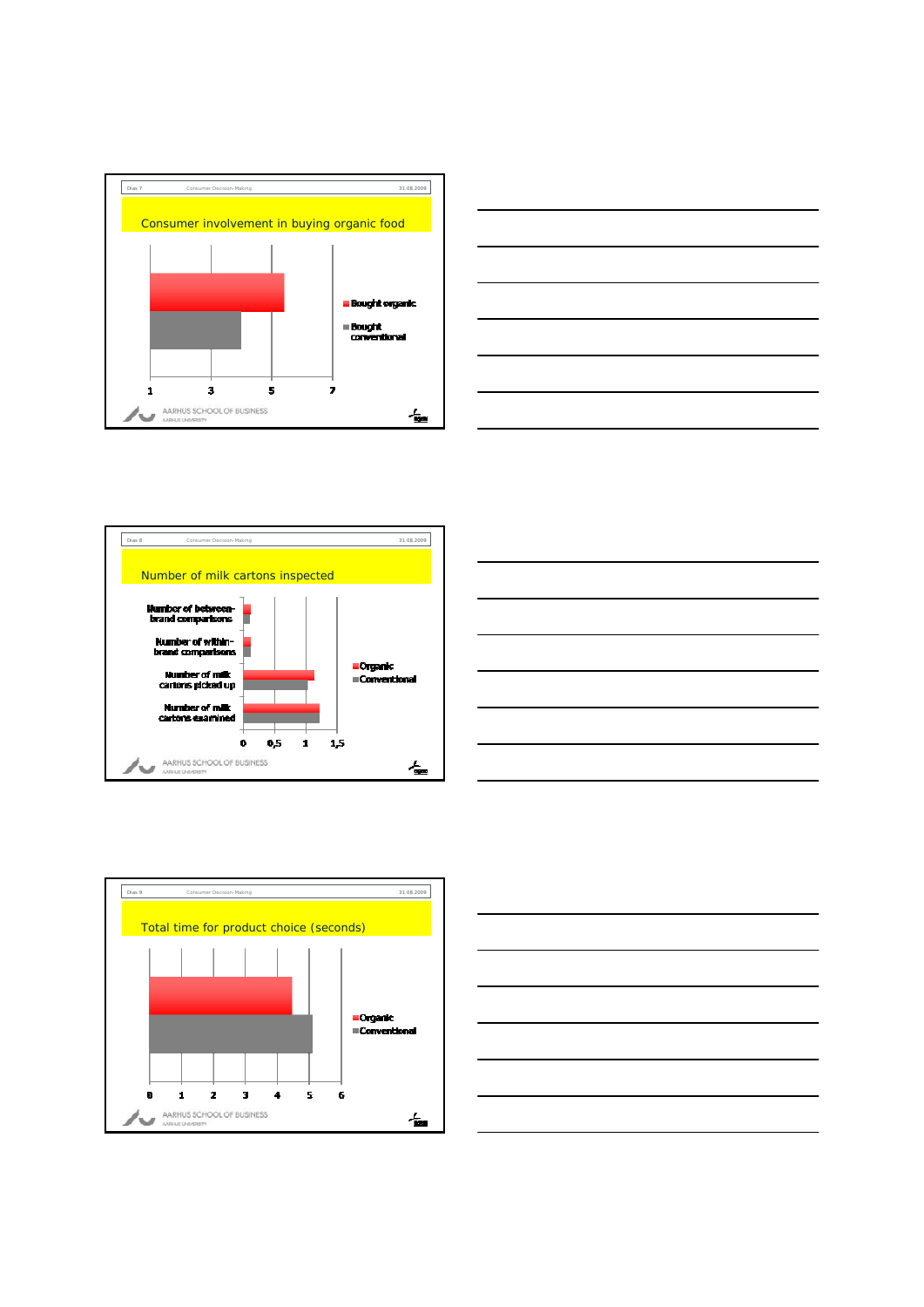









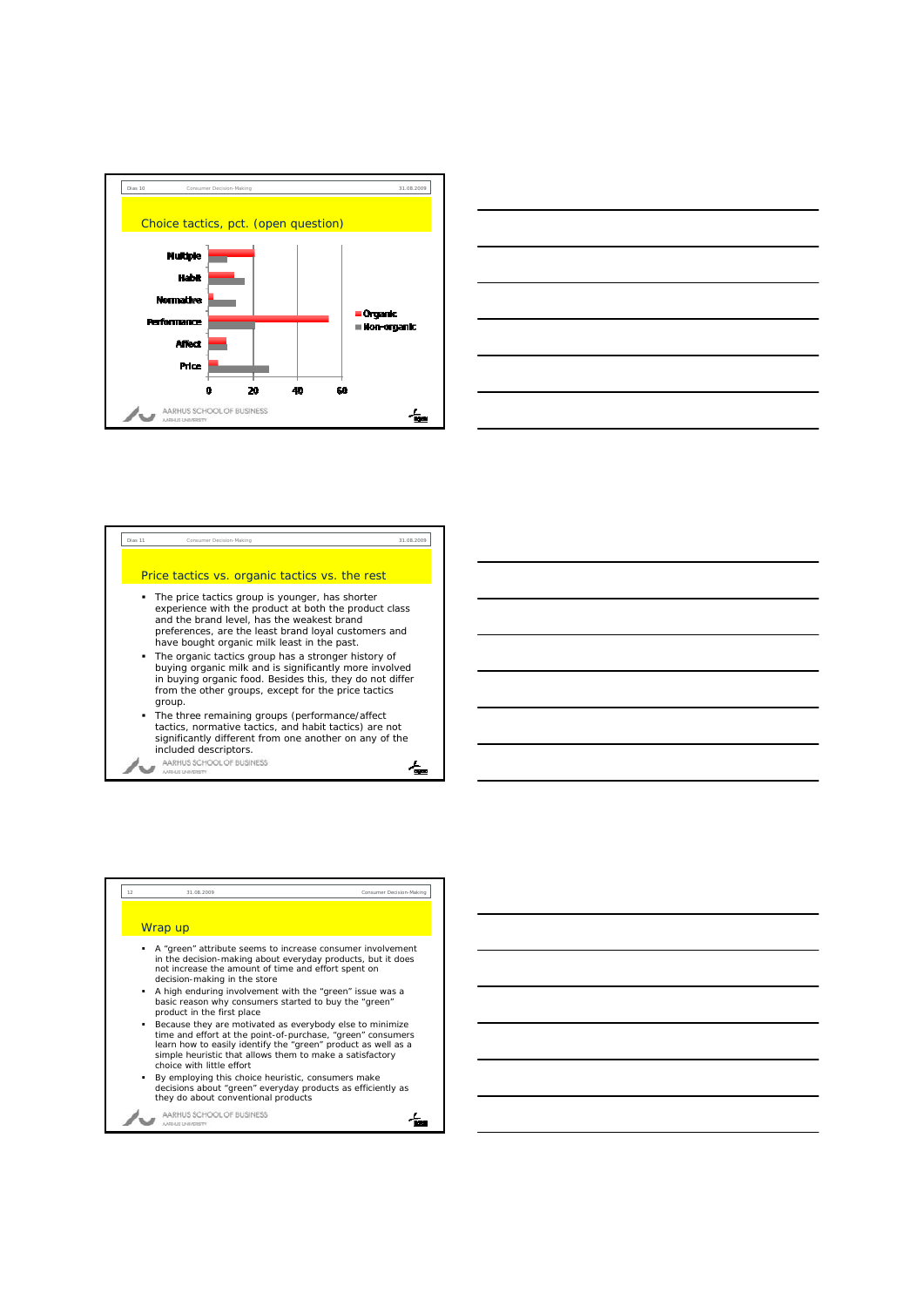





## Wrap up

 A "green" attribute seems to increase consumer involvement in the decision-making about everyday products, but it does not increase the amount of time and effort spent on decision-making in the store

12 31.08.2009 Consumer Decision-Making

- A high enduring involvement with the "green" issue was a basic reason why consumers started to buy the "green" product in the first place
- **Because they are motivated as everybody else to minimize**<br>time and effort at the point-of-purchase, "green" consumers<br>learn how to easily identify the "green" product as well as a<br>simple heuristic that allows them to make choice with little effort
- By employing this choice heuristic, consumers make decisions about "green" everyday products as efficiently as they do about conventional products

AARHUS SCHOOL OF BUSINESS へっ

∕ѭ